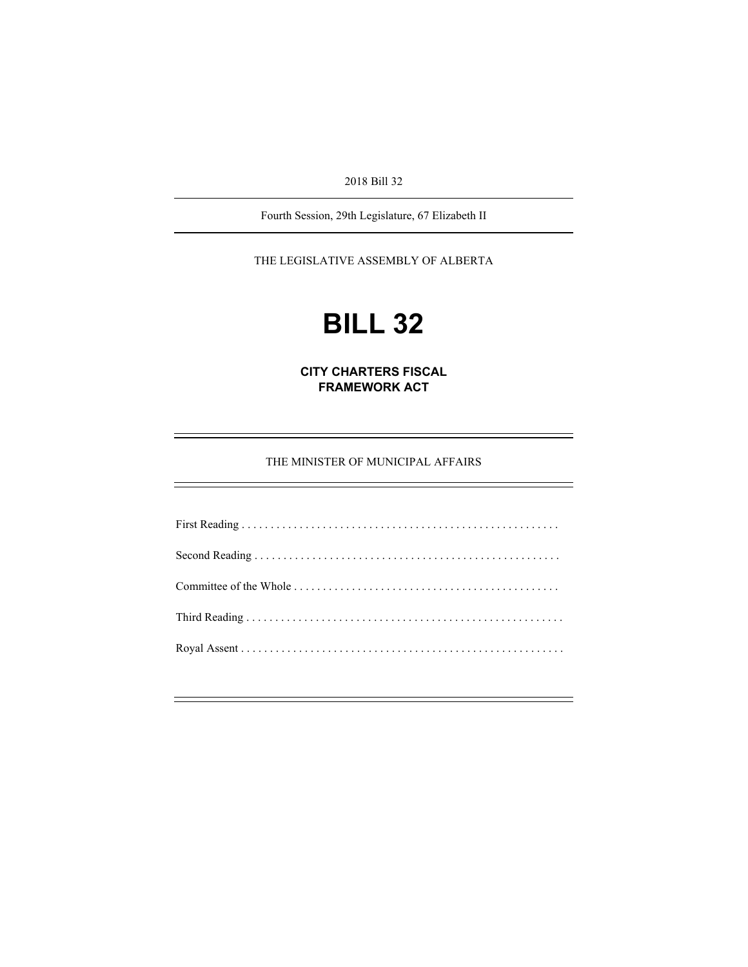2018 Bill 32

Fourth Session, 29th Legislature, 67 Elizabeth II

THE LEGISLATIVE ASSEMBLY OF ALBERTA

# **BILL 32**

**CITY CHARTERS FISCAL FRAMEWORK ACT** 

THE MINISTER OF MUNICIPAL AFFAIRS

First Reading . . . . . . . . . . . . . . . . . . . . . . . . . . . . . . . . . . . . . . . . . . . . . . . . . . . . . . . Second Reading . . . . . . . . . . . . . . . . . . . . . . . . . . . . . . . . . . . . . . . . . . . . . . . . . . . . . Committee of the Whole . . . . . . . . . . . . . . . . . . . . . . . . . . . . . . . . . . . . . . . . . . . . . . Third Reading . . . . . . . . . . . . . . . . . . . . . . . . . . . . . . . . . . . . . . . . . . . . . . . . . . . . . . . Royal Assent . . . . . . . . . . . . . . . . . . . . . . . . . . . . . . . . . . . . . . . . . . . . . . . . . . . . . . . .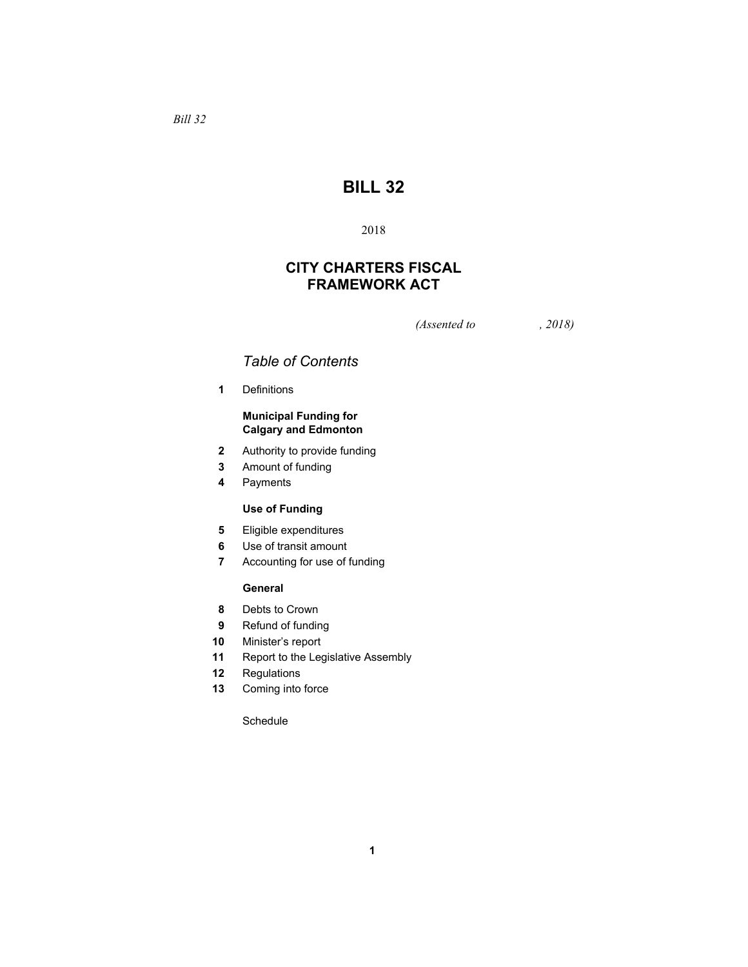# **BILL 32**

# 2018

# **CITY CHARTERS FISCAL FRAMEWORK ACT**

*(Assented to , 2018)* 

# *Table of Contents*

**1** Definitions

# **Municipal Funding for Calgary and Edmonton**

- **2** Authority to provide funding
- **3** Amount of funding
- **4** Payments

# **Use of Funding**

- **5** Eligible expenditures
- **6** Use of transit amount
- **7** Accounting for use of funding

# **General**

- **8** Debts to Crown
- **9** Refund of funding
- **10** Minister's report
- **11** Report to the Legislative Assembly
- **12** Regulations
- **13** Coming into force

Schedule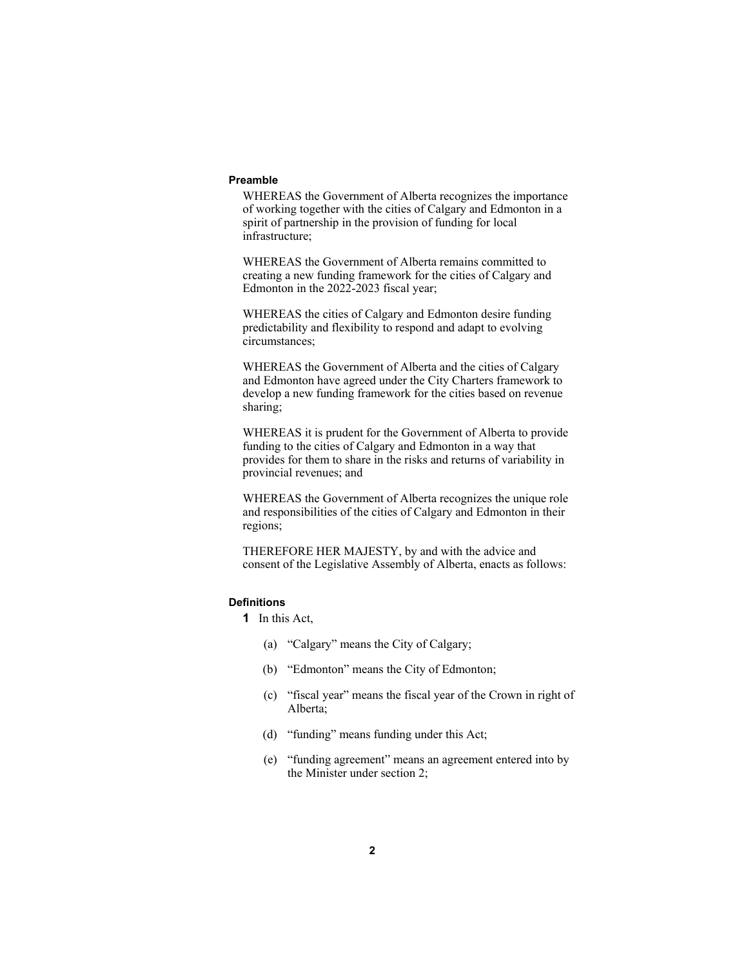#### **Preamble**

WHEREAS the Government of Alberta recognizes the importance of working together with the cities of Calgary and Edmonton in a spirit of partnership in the provision of funding for local infrastructure;

WHEREAS the Government of Alberta remains committed to creating a new funding framework for the cities of Calgary and Edmonton in the 2022-2023 fiscal year;

WHEREAS the cities of Calgary and Edmonton desire funding predictability and flexibility to respond and adapt to evolving circumstances;

WHEREAS the Government of Alberta and the cities of Calgary and Edmonton have agreed under the City Charters framework to develop a new funding framework for the cities based on revenue sharing;

WHEREAS it is prudent for the Government of Alberta to provide funding to the cities of Calgary and Edmonton in a way that provides for them to share in the risks and returns of variability in provincial revenues; and

WHEREAS the Government of Alberta recognizes the unique role and responsibilities of the cities of Calgary and Edmonton in their regions;

THEREFORE HER MAJESTY, by and with the advice and consent of the Legislative Assembly of Alberta, enacts as follows:

#### **Definitions**

**1** In this Act,

- (a) "Calgary" means the City of Calgary;
- (b) "Edmonton" means the City of Edmonton;
- (c) "fiscal year" means the fiscal year of the Crown in right of Alberta;
- (d) "funding" means funding under this Act;
- (e) "funding agreement" means an agreement entered into by the Minister under section 2;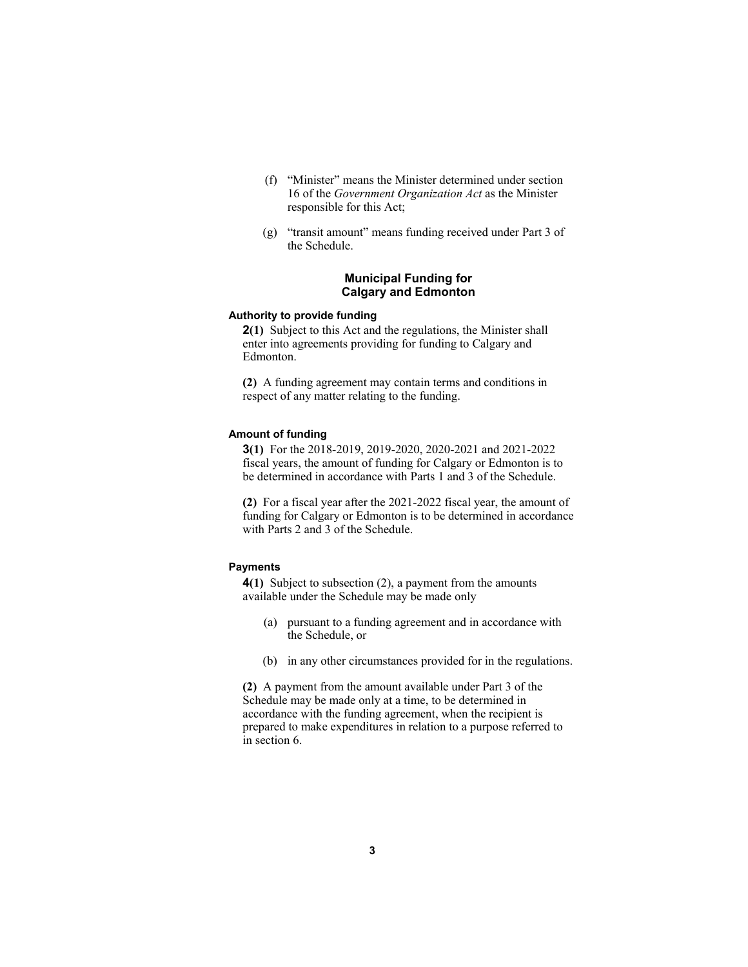- (f) "Minister" means the Minister determined under section 16 of the *Government Organization Act* as the Minister responsible for this Act;
- (g) "transit amount" means funding received under Part 3 of the Schedule.

# **Municipal Funding for Calgary and Edmonton**

#### **Authority to provide funding**

**2(1)** Subject to this Act and the regulations, the Minister shall enter into agreements providing for funding to Calgary and Edmonton.

**(2)** A funding agreement may contain terms and conditions in respect of any matter relating to the funding.

#### **Amount of funding**

**3(1)** For the 2018-2019, 2019-2020, 2020-2021 and 2021-2022 fiscal years, the amount of funding for Calgary or Edmonton is to be determined in accordance with Parts 1 and 3 of the Schedule.

**(2)** For a fiscal year after the 2021-2022 fiscal year, the amount of funding for Calgary or Edmonton is to be determined in accordance with Parts 2 and 3 of the Schedule.

#### **Payments**

**4(1)** Subject to subsection (2), a payment from the amounts available under the Schedule may be made only

- (a) pursuant to a funding agreement and in accordance with the Schedule, or
- (b) in any other circumstances provided for in the regulations.

**(2)** A payment from the amount available under Part 3 of the Schedule may be made only at a time, to be determined in accordance with the funding agreement, when the recipient is prepared to make expenditures in relation to a purpose referred to in section 6.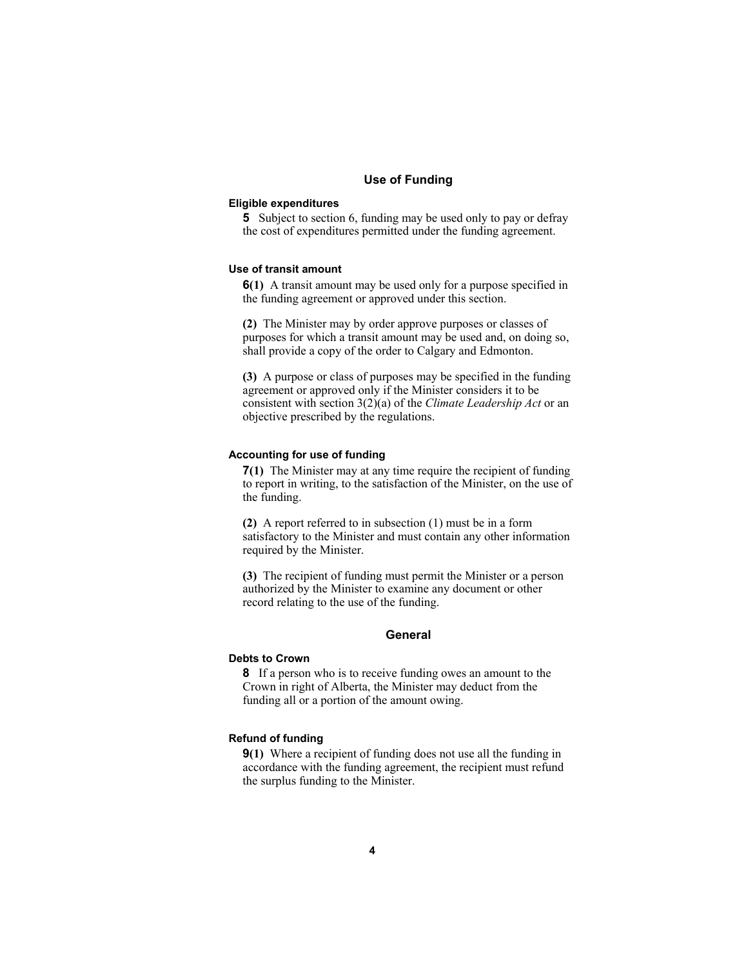# **Use of Funding**

#### **Eligible expenditures**

**5** Subject to section 6, funding may be used only to pay or defray the cost of expenditures permitted under the funding agreement.

# **Use of transit amount**

**6(1)** A transit amount may be used only for a purpose specified in the funding agreement or approved under this section.

**(2)** The Minister may by order approve purposes or classes of purposes for which a transit amount may be used and, on doing so, shall provide a copy of the order to Calgary and Edmonton.

**(3)** A purpose or class of purposes may be specified in the funding agreement or approved only if the Minister considers it to be consistent with section 3(2)(a) of the *Climate Leadership Act* or an objective prescribed by the regulations.

#### **Accounting for use of funding**

**7(1)** The Minister may at any time require the recipient of funding to report in writing, to the satisfaction of the Minister, on the use of the funding.

**(2)** A report referred to in subsection (1) must be in a form satisfactory to the Minister and must contain any other information required by the Minister.

**(3)** The recipient of funding must permit the Minister or a person authorized by the Minister to examine any document or other record relating to the use of the funding.

#### **General**

# **Debts to Crown**

**8** If a person who is to receive funding owes an amount to the Crown in right of Alberta, the Minister may deduct from the funding all or a portion of the amount owing.

#### **Refund of funding**

**9(1)** Where a recipient of funding does not use all the funding in accordance with the funding agreement, the recipient must refund the surplus funding to the Minister.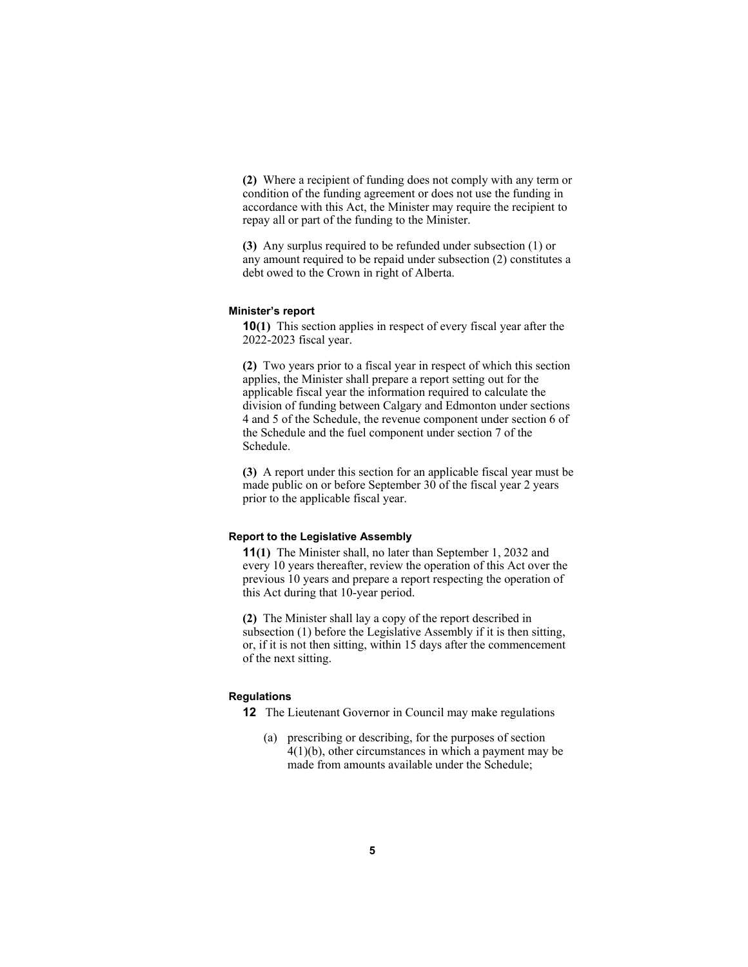**(2)** Where a recipient of funding does not comply with any term or condition of the funding agreement or does not use the funding in accordance with this Act, the Minister may require the recipient to repay all or part of the funding to the Minister.

**(3)** Any surplus required to be refunded under subsection (1) or any amount required to be repaid under subsection (2) constitutes a debt owed to the Crown in right of Alberta.

#### **Minister's report**

**10(1)** This section applies in respect of every fiscal year after the 2022-2023 fiscal year.

**(2)** Two years prior to a fiscal year in respect of which this section applies, the Minister shall prepare a report setting out for the applicable fiscal year the information required to calculate the division of funding between Calgary and Edmonton under sections 4 and 5 of the Schedule, the revenue component under section 6 of the Schedule and the fuel component under section 7 of the Schedule.

**(3)** A report under this section for an applicable fiscal year must be made public on or before September 30 of the fiscal year 2 years prior to the applicable fiscal year.

# **Report to the Legislative Assembly**

**11(1)** The Minister shall, no later than September 1, 2032 and every 10 years thereafter, review the operation of this Act over the previous 10 years and prepare a report respecting the operation of this Act during that 10-year period.

**(2)** The Minister shall lay a copy of the report described in subsection (1) before the Legislative Assembly if it is then sitting, or, if it is not then sitting, within 15 days after the commencement of the next sitting.

#### **Regulations**

**12** The Lieutenant Governor in Council may make regulations

 (a) prescribing or describing, for the purposes of section 4(1)(b), other circumstances in which a payment may be made from amounts available under the Schedule;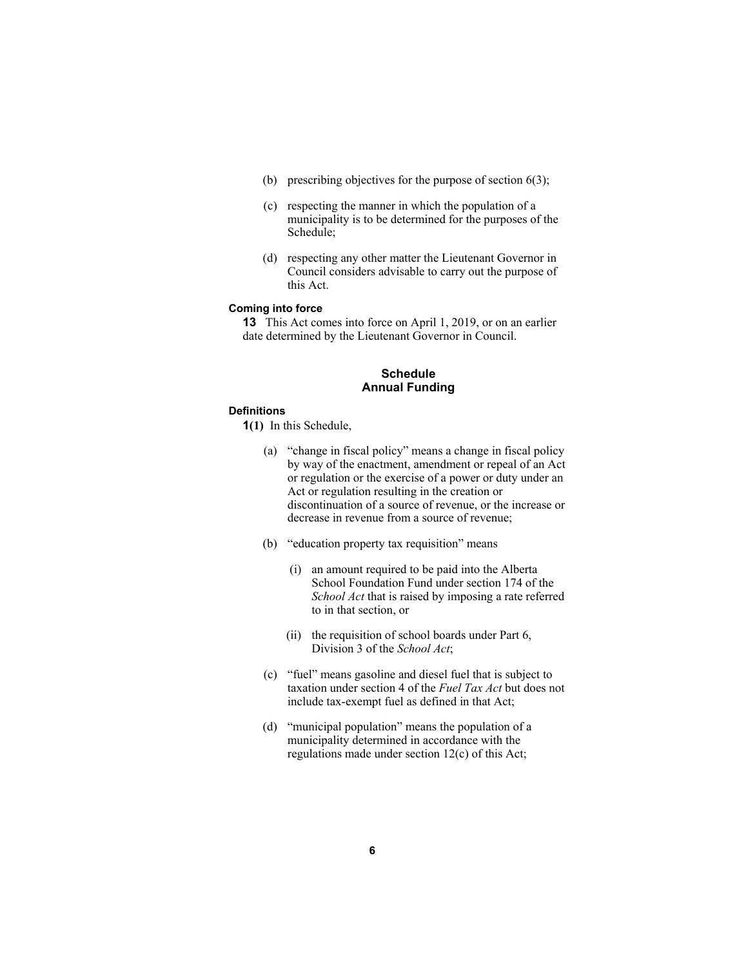- (b) prescribing objectives for the purpose of section 6(3);
- (c) respecting the manner in which the population of a municipality is to be determined for the purposes of the Schedule;
- (d) respecting any other matter the Lieutenant Governor in Council considers advisable to carry out the purpose of this Act.

#### **Coming into force**

**13** This Act comes into force on April 1, 2019, or on an earlier date determined by the Lieutenant Governor in Council.

# **Schedule Annual Funding**

# **Definitions**

**1(1)** In this Schedule,

- (a) "change in fiscal policy" means a change in fiscal policy by way of the enactment, amendment or repeal of an Act or regulation or the exercise of a power or duty under an Act or regulation resulting in the creation or discontinuation of a source of revenue, or the increase or decrease in revenue from a source of revenue;
- (b) "education property tax requisition" means
	- (i) an amount required to be paid into the Alberta School Foundation Fund under section 174 of the *School Act* that is raised by imposing a rate referred to in that section, or
	- (ii) the requisition of school boards under Part 6, Division 3 of the *School Act*;
- (c) "fuel" means gasoline and diesel fuel that is subject to taxation under section 4 of the *Fuel Tax Act* but does not include tax-exempt fuel as defined in that Act;
- (d) "municipal population" means the population of a municipality determined in accordance with the regulations made under section 12(c) of this Act;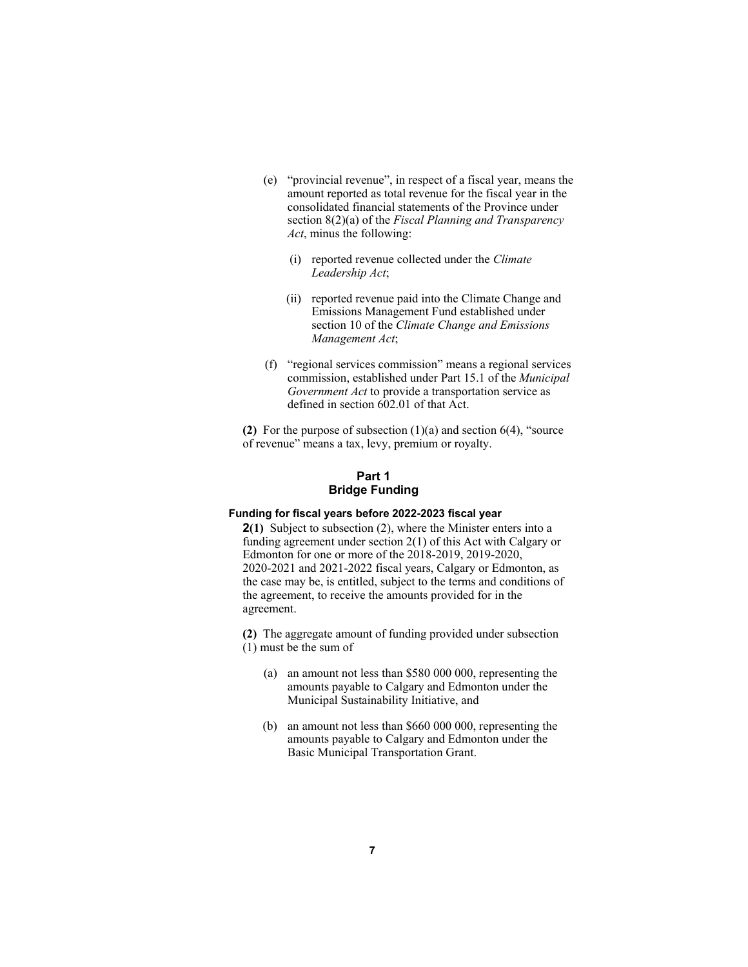- (e) "provincial revenue", in respect of a fiscal year, means the amount reported as total revenue for the fiscal year in the consolidated financial statements of the Province under section 8(2)(a) of the *Fiscal Planning and Transparency Act*, minus the following:
	- (i) reported revenue collected under the *Climate Leadership Act*;
	- (ii) reported revenue paid into the Climate Change and Emissions Management Fund established under section 10 of the *Climate Change and Emissions Management Act*;
- (f) "regional services commission" means a regional services commission, established under Part 15.1 of the *Municipal Government Act* to provide a transportation service as defined in section 602.01 of that Act.

**(2)** For the purpose of subsection (1)(a) and section 6(4), "source of revenue" means a tax, levy, premium or royalty.

# **Part 1 Bridge Funding**

# **Funding for fiscal years before 2022-2023 fiscal year**

**2(1)** Subject to subsection (2), where the Minister enters into a funding agreement under section 2(1) of this Act with Calgary or Edmonton for one or more of the 2018-2019, 2019-2020, 2020-2021 and 2021-2022 fiscal years, Calgary or Edmonton, as the case may be, is entitled, subject to the terms and conditions of the agreement, to receive the amounts provided for in the agreement.

**(2)** The aggregate amount of funding provided under subsection (1) must be the sum of

- (a) an amount not less than \$580 000 000, representing the amounts payable to Calgary and Edmonton under the Municipal Sustainability Initiative, and
- (b) an amount not less than \$660 000 000, representing the amounts payable to Calgary and Edmonton under the Basic Municipal Transportation Grant.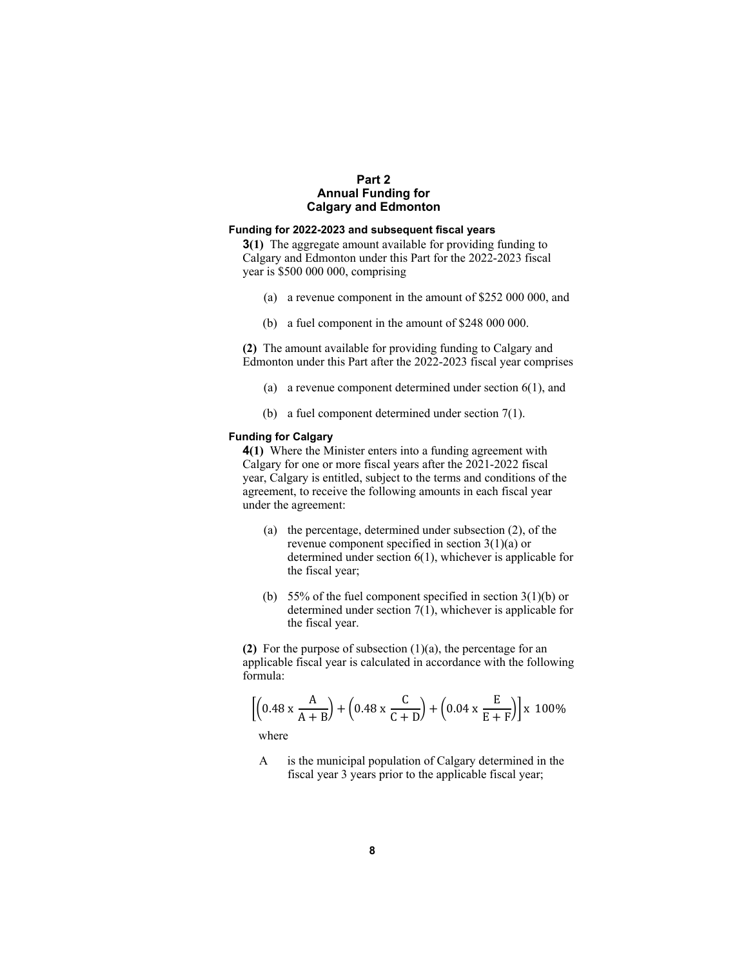# **Part 2 Annual Funding for Calgary and Edmonton**

## **Funding for 2022-2023 and subsequent fiscal years**

**3(1)** The aggregate amount available for providing funding to Calgary and Edmonton under this Part for the 2022-2023 fiscal year is \$500 000 000, comprising

- (a) a revenue component in the amount of \$252 000 000, and
- (b) a fuel component in the amount of \$248 000 000.

**(2)** The amount available for providing funding to Calgary and Edmonton under this Part after the 2022-2023 fiscal year comprises

- (a) a revenue component determined under section 6(1), and
- (b) a fuel component determined under section 7(1).

# **Funding for Calgary**

**4(1)** Where the Minister enters into a funding agreement with Calgary for one or more fiscal years after the 2021-2022 fiscal year, Calgary is entitled, subject to the terms and conditions of the agreement, to receive the following amounts in each fiscal year under the agreement:

- (a) the percentage, determined under subsection (2), of the revenue component specified in section  $3(1)(a)$  or determined under section 6(1), whichever is applicable for the fiscal year;
- (b) 55% of the fuel component specified in section  $3(1)(b)$  or determined under section 7(1), whichever is applicable for the fiscal year.

**(2)** For the purpose of subsection (1)(a), the percentage for an applicable fiscal year is calculated in accordance with the following formula:

$$
\left[ \left( 0.48 \times \frac{A}{A+B} \right) + \left( 0.48 \times \frac{C}{C+D} \right) + \left( 0.04 \times \frac{E}{E+F} \right) \right] \times 100\%
$$

where

 A is the municipal population of Calgary determined in the fiscal year 3 years prior to the applicable fiscal year;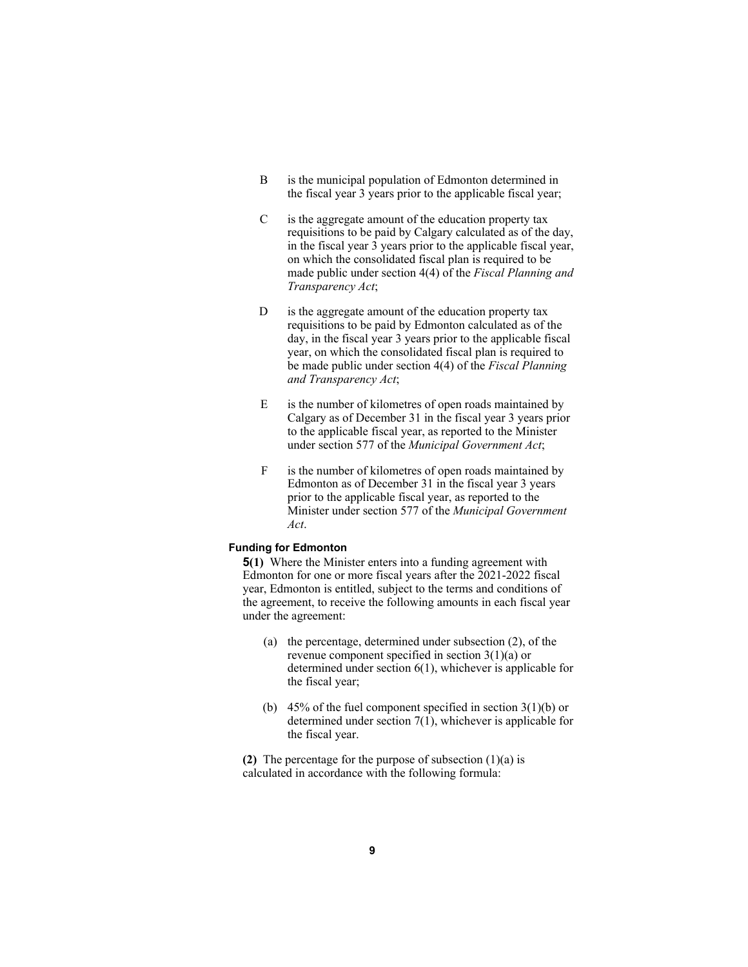- B is the municipal population of Edmonton determined in the fiscal year 3 years prior to the applicable fiscal year;
- $C$  is the aggregate amount of the education property tax requisitions to be paid by Calgary calculated as of the day, in the fiscal year 3 years prior to the applicable fiscal year, on which the consolidated fiscal plan is required to be made public under section 4(4) of the *Fiscal Planning and Transparency Act*;
- D is the aggregate amount of the education property tax requisitions to be paid by Edmonton calculated as of the day, in the fiscal year 3 years prior to the applicable fiscal year, on which the consolidated fiscal plan is required to be made public under section 4(4) of the *Fiscal Planning and Transparency Act*;
- E is the number of kilometres of open roads maintained by Calgary as of December 31 in the fiscal year 3 years prior to the applicable fiscal year, as reported to the Minister under section 577 of the *Municipal Government Act*;
- F is the number of kilometres of open roads maintained by Edmonton as of December 31 in the fiscal year 3 years prior to the applicable fiscal year, as reported to the Minister under section 577 of the *Municipal Government Act*.

#### **Funding for Edmonton**

**5(1)** Where the Minister enters into a funding agreement with Edmonton for one or more fiscal years after the 2021-2022 fiscal year, Edmonton is entitled, subject to the terms and conditions of the agreement, to receive the following amounts in each fiscal year under the agreement:

- (a) the percentage, determined under subsection (2), of the revenue component specified in section 3(1)(a) or determined under section 6(1), whichever is applicable for the fiscal year;
- (b) 45% of the fuel component specified in section  $3(1)(b)$  or determined under section 7(1), whichever is applicable for the fiscal year.

**(2)** The percentage for the purpose of subsection (1)(a) is calculated in accordance with the following formula: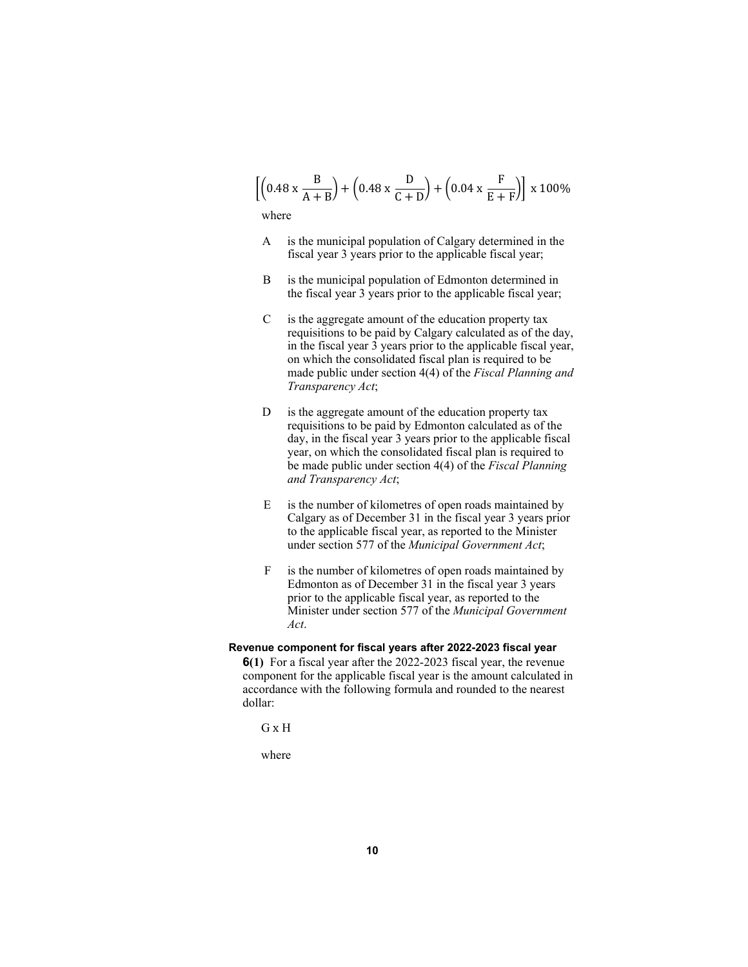$$
\left[ \left( 0.48 \times \frac{B}{A+B} \right) + \left( 0.48 \times \frac{D}{C+D} \right) + \left( 0.04 \times \frac{F}{E+F} \right) \right] \times 100\%
$$

where

- A is the municipal population of Calgary determined in the fiscal year 3 years prior to the applicable fiscal year;
- B is the municipal population of Edmonton determined in the fiscal year 3 years prior to the applicable fiscal year;
- $C$  is the aggregate amount of the education property tax requisitions to be paid by Calgary calculated as of the day, in the fiscal year 3 years prior to the applicable fiscal year, on which the consolidated fiscal plan is required to be made public under section 4(4) of the *Fiscal Planning and Transparency Act*;
- D is the aggregate amount of the education property tax requisitions to be paid by Edmonton calculated as of the day, in the fiscal year 3 years prior to the applicable fiscal year, on which the consolidated fiscal plan is required to be made public under section 4(4) of the *Fiscal Planning and Transparency Act*;
- E is the number of kilometres of open roads maintained by Calgary as of December 31 in the fiscal year 3 years prior to the applicable fiscal year, as reported to the Minister under section 577 of the *Municipal Government Act*;
- F is the number of kilometres of open roads maintained by Edmonton as of December 31 in the fiscal year 3 years prior to the applicable fiscal year, as reported to the Minister under section 577 of the *Municipal Government Act*.

# **Revenue component for fiscal years after 2022-2023 fiscal year**

**6(1)** For a fiscal year after the 2022-2023 fiscal year, the revenue component for the applicable fiscal year is the amount calculated in accordance with the following formula and rounded to the nearest dollar:

```
G x H
```
where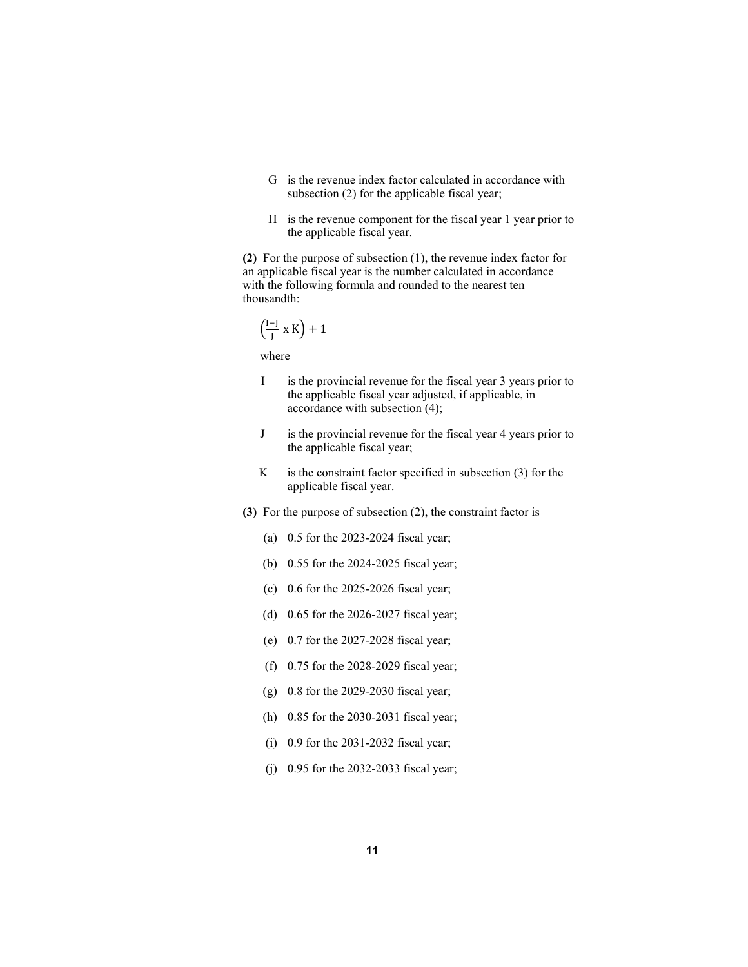- G is the revenue index factor calculated in accordance with subsection (2) for the applicable fiscal year;
- H is the revenue component for the fiscal year 1 year prior to the applicable fiscal year.

**(2)** For the purpose of subsection (1), the revenue index factor for an applicable fiscal year is the number calculated in accordance with the following formula and rounded to the nearest ten thousandth:

$$
\left(\begin{smallmatrix} I-J \\ J \end{smallmatrix} \times K \right) + 1
$$

where

- I is the provincial revenue for the fiscal year 3 years prior to the applicable fiscal year adjusted, if applicable, in accordance with subsection (4);
- J is the provincial revenue for the fiscal year 4 years prior to the applicable fiscal year;
- $K$  is the constraint factor specified in subsection (3) for the applicable fiscal year.
- **(3)** For the purpose of subsection (2), the constraint factor is
	- (a) 0.5 for the 2023-2024 fiscal year;
	- (b) 0.55 for the 2024-2025 fiscal year;
	- (c) 0.6 for the 2025-2026 fiscal year;
	- (d) 0.65 for the 2026-2027 fiscal year;
	- (e) 0.7 for the 2027-2028 fiscal year;
	- (f) 0.75 for the 2028-2029 fiscal year;
	- (g) 0.8 for the 2029-2030 fiscal year;
	- (h) 0.85 for the 2030-2031 fiscal year;
	- (i) 0.9 for the 2031-2032 fiscal year;
	- (j) 0.95 for the 2032-2033 fiscal year;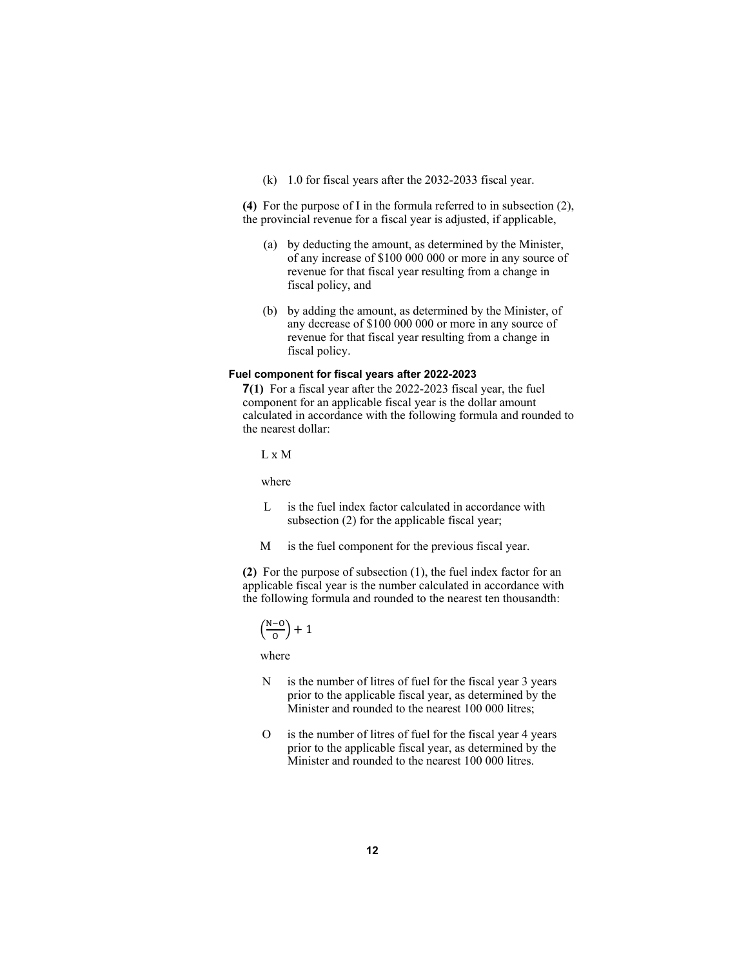(k) 1.0 for fiscal years after the 2032-2033 fiscal year.

**(4)** For the purpose of I in the formula referred to in subsection (2), the provincial revenue for a fiscal year is adjusted, if applicable,

- (a) by deducting the amount, as determined by the Minister, of any increase of \$100 000 000 or more in any source of revenue for that fiscal year resulting from a change in fiscal policy, and
- (b) by adding the amount, as determined by the Minister, of any decrease of \$100 000 000 or more in any source of revenue for that fiscal year resulting from a change in fiscal policy.

#### **Fuel component for fiscal years after 2022-2023**

**7(1)** For a fiscal year after the 2022-2023 fiscal year, the fuel component for an applicable fiscal year is the dollar amount calculated in accordance with the following formula and rounded to the nearest dollar:

L x M

where

- L is the fuel index factor calculated in accordance with subsection (2) for the applicable fiscal year;
- M is the fuel component for the previous fiscal year.

**(2)** For the purpose of subsection (1), the fuel index factor for an applicable fiscal year is the number calculated in accordance with the following formula and rounded to the nearest ten thousandth:

$$
\left(\frac{N-0}{0}\right)+1
$$

where

- N is the number of litres of fuel for the fiscal year 3 years prior to the applicable fiscal year, as determined by the Minister and rounded to the nearest 100 000 litres;
- O is the number of litres of fuel for the fiscal year 4 years prior to the applicable fiscal year, as determined by the Minister and rounded to the nearest 100 000 litres.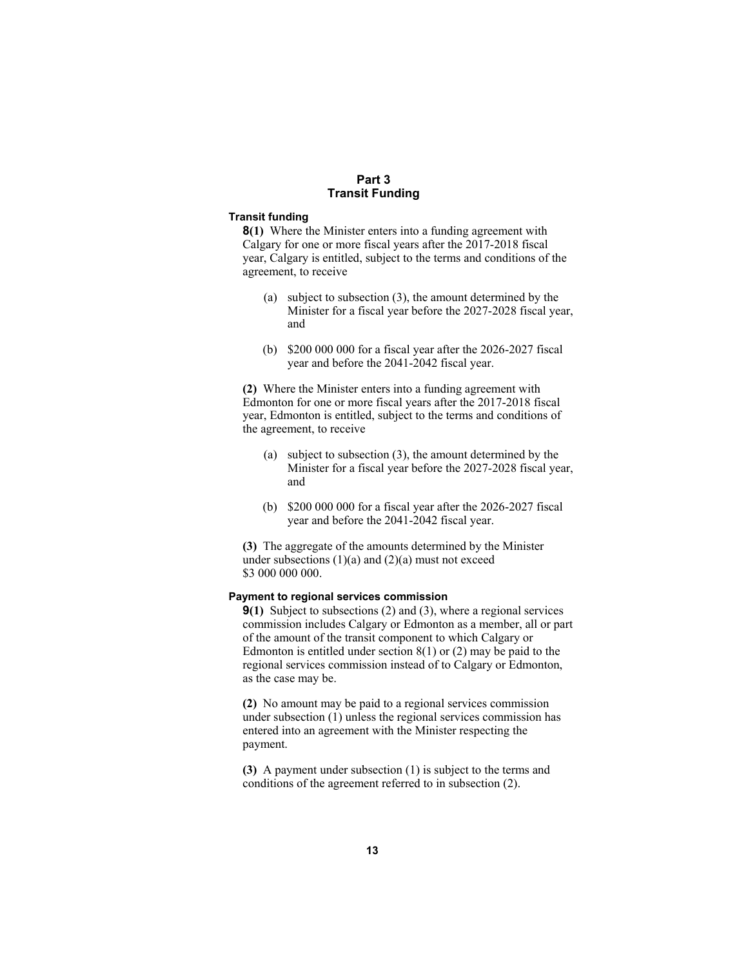# **Part 3 Transit Funding**

#### **Transit funding**

**8(1)** Where the Minister enters into a funding agreement with Calgary for one or more fiscal years after the 2017-2018 fiscal year, Calgary is entitled, subject to the terms and conditions of the agreement, to receive

- (a) subject to subsection (3), the amount determined by the Minister for a fiscal year before the 2027-2028 fiscal year, and
- (b) \$200 000 000 for a fiscal year after the 2026-2027 fiscal year and before the 2041-2042 fiscal year.

**(2)** Where the Minister enters into a funding agreement with Edmonton for one or more fiscal years after the 2017-2018 fiscal year, Edmonton is entitled, subject to the terms and conditions of the agreement, to receive

- (a) subject to subsection (3), the amount determined by the Minister for a fiscal year before the 2027-2028 fiscal year, and
- (b) \$200 000 000 for a fiscal year after the 2026-2027 fiscal year and before the 2041-2042 fiscal year.

**(3)** The aggregate of the amounts determined by the Minister under subsections  $(1)(a)$  and  $(2)(a)$  must not exceed \$3 000 000 000.

# **Payment to regional services commission**

**9(1)** Subject to subsections (2) and (3), where a regional services commission includes Calgary or Edmonton as a member, all or part of the amount of the transit component to which Calgary or Edmonton is entitled under section  $8(1)$  or  $(2)$  may be paid to the regional services commission instead of to Calgary or Edmonton, as the case may be.

**(2)** No amount may be paid to a regional services commission under subsection (1) unless the regional services commission has entered into an agreement with the Minister respecting the payment.

**(3)** A payment under subsection (1) is subject to the terms and conditions of the agreement referred to in subsection (2).